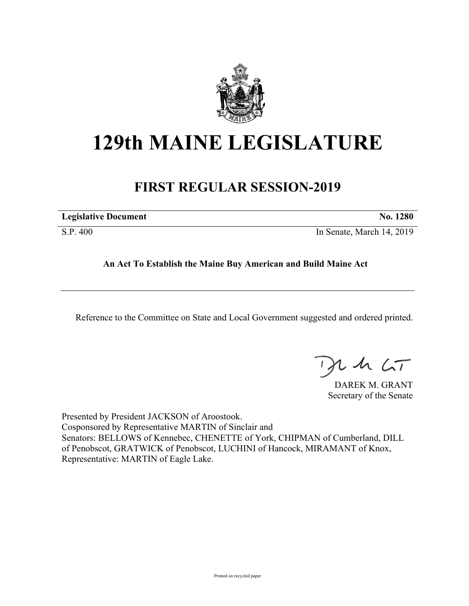

# **129th MAINE LEGISLATURE**

# **FIRST REGULAR SESSION-2019**

| <b>Legislative Document</b> | No. 1280 |
|-----------------------------|----------|
|                             |          |

S.P. 400 In Senate, March 14, 2019

## **An Act To Establish the Maine Buy American and Build Maine Act**

Reference to the Committee on State and Local Government suggested and ordered printed.

, in  $\zeta$ T

DAREK M. GRANT Secretary of the Senate

Presented by President JACKSON of Aroostook. Cosponsored by Representative MARTIN of Sinclair and Senators: BELLOWS of Kennebec, CHENETTE of York, CHIPMAN of Cumberland, DILL of Penobscot, GRATWICK of Penobscot, LUCHINI of Hancock, MIRAMANT of Knox, Representative: MARTIN of Eagle Lake.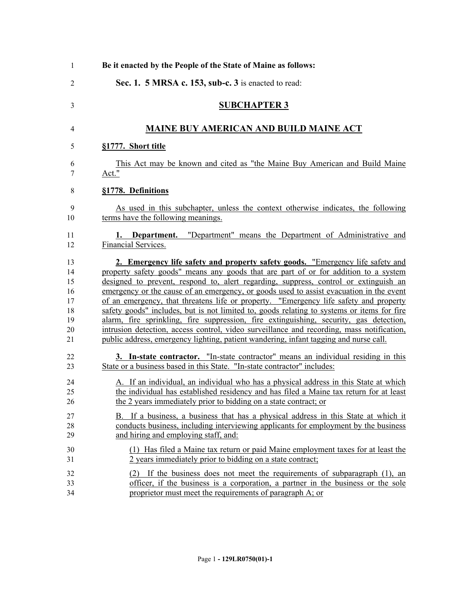| $\mathbf{1}$    | Be it enacted by the People of the State of Maine as follows:                                    |
|-----------------|--------------------------------------------------------------------------------------------------|
| $\overline{2}$  | Sec. 1. 5 MRSA c. 153, sub-c. 3 is enacted to read:                                              |
| 3               | <b>SUBCHAPTER 3</b>                                                                              |
| 4               | <b>MAINE BUY AMERICAN AND BUILD MAINE ACT</b>                                                    |
| 5               | §1777. Short title                                                                               |
| 6               | This Act may be known and cited as "the Maine Buy American and Build Maine                       |
| 7               | Act."                                                                                            |
| 8               | §1778. Definitions                                                                               |
| 9               | As used in this subchapter, unless the context otherwise indicates, the following                |
| 10              | terms have the following meanings.                                                               |
| 11<br>12        | "Department" means the Department of Administrative and<br>1. Department.<br>Financial Services. |
| 13              | 2. Emergency life safety and property safety goods. "Emergency life safety and                   |
| 14              | property safety goods" means any goods that are part of or for addition to a system              |
| 15              | designed to prevent, respond to, alert regarding, suppress, control or extinguish an             |
| 16              | emergency or the cause of an emergency, or goods used to assist evacuation in the event          |
| 17              | of an emergency, that threatens life or property. "Emergency life safety and property            |
| 18              | safety goods" includes, but is not limited to, goods relating to systems or items for fire       |
| 19              | alarm, fire sprinkling, fire suppression, fire extinguishing, security, gas detection,           |
| 20              | intrusion detection, access control, video surveillance and recording, mass notification,        |
| $\overline{21}$ | public address, emergency lighting, patient wandering, infant tagging and nurse call.            |
| 22              | 3. In-state contractor. "In-state contractor" means an individual residing in this               |
| 23              | State or a business based in this State. "In-state contractor" includes:                         |
| 24              | A. If an individual, an individual who has a physical address in this State at which             |
| 25              | the individual has established residency and has filed a Maine tax return for at least           |
| 26              | the 2 years immediately prior to bidding on a state contract; or                                 |
| 27              | B. If a business, a business that has a physical address in this State at which it               |
| 28              | conducts business, including interviewing applicants for employment by the business              |
| 29              | and hiring and employing staff, and:                                                             |
| 30              | (1) Has filed a Maine tax return or paid Maine employment taxes for at least the                 |
| 31              | 2 years immediately prior to bidding on a state contract;                                        |
| 32              | (2) If the business does not meet the requirements of subparagraph (1), an                       |
| 33              | officer, if the business is a corporation, a partner in the business or the sole                 |
| 34              | proprietor must meet the requirements of paragraph A; or                                         |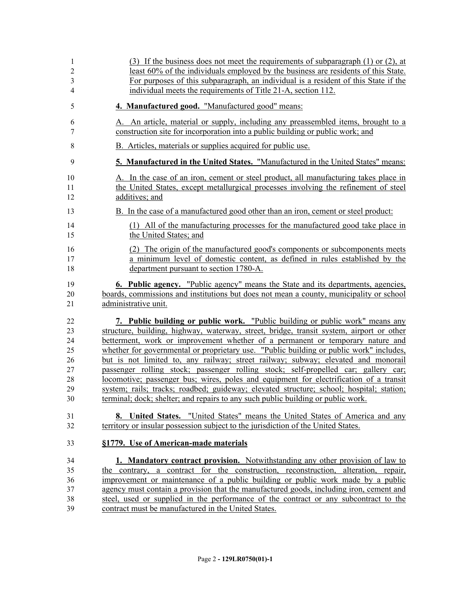| 1              | (3) If the business does not meet the requirements of subparagraph $(1)$ or $(2)$ , at   |
|----------------|------------------------------------------------------------------------------------------|
| $\overline{c}$ | least 60% of the individuals employed by the business are residents of this State.       |
| 3              | For purposes of this subparagraph, an individual is a resident of this State if the      |
| 4              | individual meets the requirements of Title 21-A, section 112.                            |
| 5              | 4. Manufactured good. "Manufactured good" means:                                         |
| 6              | A. An article, material or supply, including any preassembled items, brought to a        |
| 7              | construction site for incorporation into a public building or public work; and           |
| 8              | B. Articles, materials or supplies acquired for public use.                              |
| 9              | 5. Manufactured in the United States. "Manufactured in the United States" means:         |
| 10             | A. In the case of an iron, cement or steel product, all manufacturing takes place in     |
| 11             | the United States, except metallurgical processes involving the refinement of steel      |
| 12             | additives; and                                                                           |
| 13             | B. In the case of a manufactured good other than an iron, cement or steel product:       |
| 14             | (1) All of the manufacturing processes for the manufactured good take place in           |
| 15             | the United States; and                                                                   |
| 16             | (2) The origin of the manufactured good's components or subcomponents meets              |
| 17             | a minimum level of domestic content, as defined in rules established by the              |
| 18             | department pursuant to section 1780-A.                                                   |
| 19             | 6. Public agency. "Public agency" means the State and its departments, agencies,         |
| 20             | boards, commissions and institutions but does not mean a county, municipality or school  |
| 21             | administrative unit.                                                                     |
| 22             | 7. Public building or public work. "Public building or public work" means any            |
| 23             | structure, building, highway, waterway, street, bridge, transit system, airport or other |
| 24             | betterment, work or improvement whether of a permanent or temporary nature and           |
| 25             | whether for governmental or proprietary use. "Public building or public work" includes,  |
| 26             | but is not limited to, any railway; street railway; subway; elevated and monorail        |
| 27             | passenger rolling stock; passenger rolling stock; self-propelled car; gallery car;       |
| 28             | locomotive; passenger bus; wires, poles and equipment for electrification of a transit   |
| 29             | system; rails; tracks; roadbed; guideway; elevated structure; school; hospital; station; |
| 30             | terminal; dock; shelter; and repairs to any such public building or public work.         |
| 31             | <b>8.</b> United States. "United States" means the United States of America and any      |
| 32             | territory or insular possession subject to the jurisdiction of the United States.        |
| 33             | §1779. Use of American-made materials                                                    |
| 34             | <b>1. Mandatory contract provision.</b> Notwithstanding any other provision of law to    |
| 35             | the contrary, a contract for the construction, reconstruction, alteration, repair,       |
| 36             | improvement or maintenance of a public building or public work made by a public          |
| 37             | agency must contain a provision that the manufactured goods, including iron, cement and  |
| 38             | steel, used or supplied in the performance of the contract or any subcontract to the     |
| 39             | contract must be manufactured in the United States.                                      |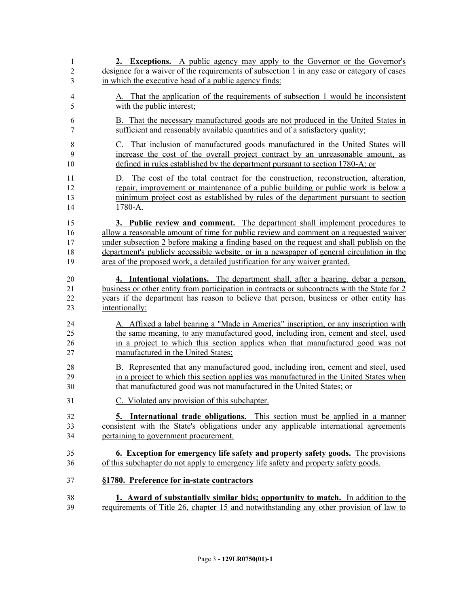| 1              | 2. Exceptions. A public agency may apply to the Governor or the Governor's                    |
|----------------|-----------------------------------------------------------------------------------------------|
| 2              | designee for a waiver of the requirements of subsection 1 in any case or category of cases    |
| 3              | in which the executive head of a public agency finds:                                         |
| $\overline{4}$ | A. That the application of the requirements of subsection 1 would be inconsistent             |
| 5              | with the public interest;                                                                     |
| 6              | B. That the necessary manufactured goods are not produced in the United States in             |
| 7              | sufficient and reasonably available quantities and of a satisfactory quality;                 |
| 8              | C. That inclusion of manufactured goods manufactured in the United States will                |
| 9              | increase the cost of the overall project contract by an unreasonable amount, as               |
| 10             | defined in rules established by the department pursuant to section 1780-A; or                 |
| 11             | D. The cost of the total contract for the construction, reconstruction, alteration,           |
| 12             | repair, improvement or maintenance of a public building or public work is below a             |
| 13             | minimum project cost as established by rules of the department pursuant to section            |
| 14             | 1780-A.                                                                                       |
| 15             | 3. Public review and comment. The department shall implement procedures to                    |
| 16             | allow a reasonable amount of time for public review and comment on a requested waiver         |
| 17             | under subsection 2 before making a finding based on the request and shall publish on the      |
| 18             | department's publicly accessible website, or in a newspaper of general circulation in the     |
| 19             | area of the proposed work, a detailed justification for any waiver granted.                   |
| 20             | 4. Intentional violations. The department shall, after a hearing, debar a person,             |
| 21             | business or other entity from participation in contracts or subcontracts with the State for 2 |
| 22             | years if the department has reason to believe that person, business or other entity has       |
| 23             | intentionally:                                                                                |
| 24             | A. Affixed a label bearing a "Made in America" inscription, or any inscription with           |
| 25             | the same meaning, to any manufactured good, including iron, cement and steel, used            |
| 26             | in a project to which this section applies when that manufactured good was not                |
| 27             | manufactured in the United States;                                                            |
| 28             | B. Represented that any manufactured good, including iron, cement and steel, used             |
| 29             | in a project to which this section applies was manufactured in the United States when         |
| 30             | that manufactured good was not manufactured in the United States; or                          |
| 31             | C. Violated any provision of this subchapter.                                                 |
| 32             | <b>5.</b> International trade obligations. This section must be applied in a manner           |
| 33             | consistent with the State's obligations under any applicable international agreements         |
| 34             | pertaining to government procurement.                                                         |
| 35             | 6. Exception for emergency life safety and property safety goods. The provisions              |
| 36             | of this subchapter do not apply to emergency life safety and property safety goods.           |
| 37             | §1780. Preference for in-state contractors                                                    |
| 38             | 1. Award of substantially similar bids; opportunity to match. In addition to the              |
| 39             | requirements of Title 26, chapter 15 and notwithstanding any other provision of law to        |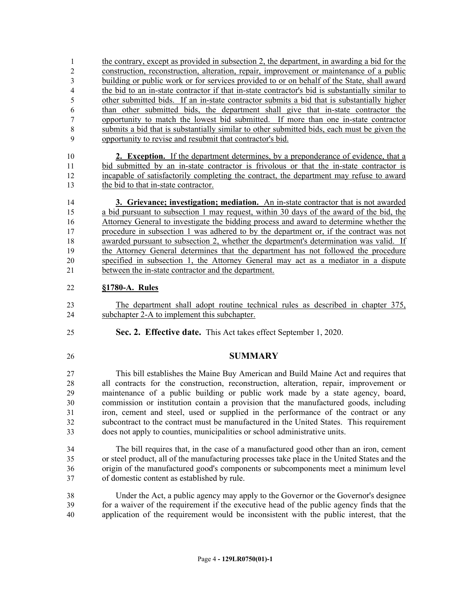1 the contrary, except as provided in subsection 2, the department, in awarding a bid for the construction, reconstruction, alteration, repair, improvement or maintenance of a public building or public work or for services provided to or on behalf of the State, shall award the bid to an in-state contractor if that in-state contractor's bid is substantially similar to other submitted bids. If an in-state contractor submits a bid that is substantially higher than other submitted bids, the department shall give that in-state contractor the opportunity to match the lowest bid submitted. If more than one in-state contractor submits a bid that is substantially similar to other submitted bids, each must be given the opportunity to revise and resubmit that contractor's bid.

 **2. Exception.** If the department determines, by a preponderance of evidence, that a bid submitted by an in-state contractor is frivolous or that the in-state contractor is incapable of satisfactorily completing the contract, the department may refuse to award the bid to that in-state contractor.

 **3. Grievance; investigation; mediation.** An in-state contractor that is not awarded a bid pursuant to subsection 1 may request, within 30 days of the award of the bid, the Attorney General to investigate the bidding process and award to determine whether the procedure in subsection 1 was adhered to by the department or, if the contract was not awarded pursuant to subsection 2, whether the department's determination was valid. If the Attorney General determines that the department has not followed the procedure specified in subsection 1, the Attorney General may act as a mediator in a dispute between the in-state contractor and the department.

### **§1780-A. Rules**

 The department shall adopt routine technical rules as described in chapter 375, subchapter 2-A to implement this subchapter.

- **Sec. 2. Effective date.** This Act takes effect September 1, 2020.
- 

### **SUMMARY**

 This bill establishes the Maine Buy American and Build Maine Act and requires that all contracts for the construction, reconstruction, alteration, repair, improvement or maintenance of a public building or public work made by a state agency, board, commission or institution contain a provision that the manufactured goods, including iron, cement and steel, used or supplied in the performance of the contract or any subcontract to the contract must be manufactured in the United States. This requirement does not apply to counties, municipalities or school administrative units.

 The bill requires that, in the case of a manufactured good other than an iron, cement or steel product, all of the manufacturing processes take place in the United States and the origin of the manufactured good's components or subcomponents meet a minimum level of domestic content as established by rule.

 Under the Act, a public agency may apply to the Governor or the Governor's designee for a waiver of the requirement if the executive head of the public agency finds that the application of the requirement would be inconsistent with the public interest, that the